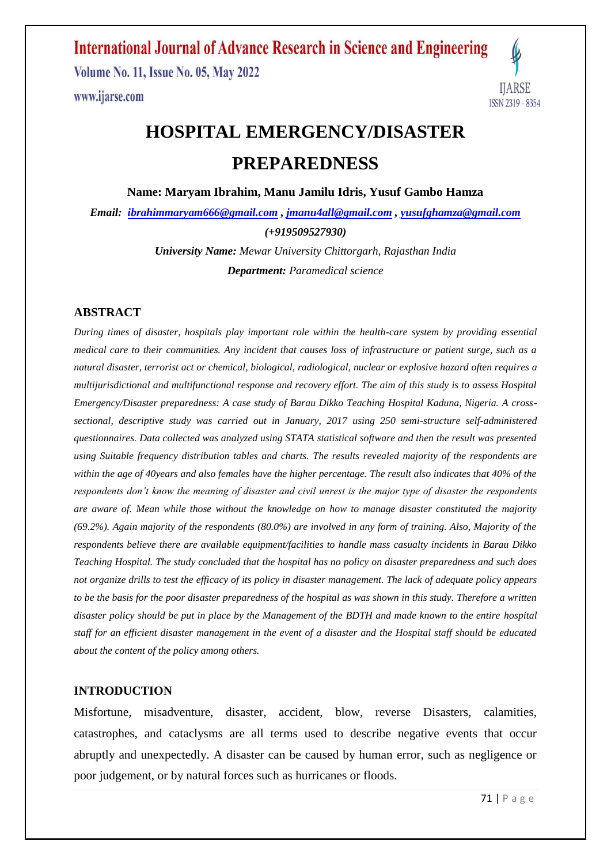### **International Journal of Advance Research in Science and Engineering**

**Volume No. 11, Issue No. 05, May 2022** www.ijarse.com



# **HOSPITAL EMERGENCY/DISASTER PREPAREDNESS**

**Name: Maryam Ibrahim, Manu Jamilu Idris, Yusuf Gambo Hamza**

*Email: [ibrahimmaryam666@gmail.com](mailto:ibrahimmaryam666@gmail.com) , [jmanu4all@gmail.com](mailto:jmanu4all@gmail.com) , [yusufghamza@gmail.com](mailto:yusufghamza@gmail.com) (+919509527930)*

> *University Name: Mewar University Chittorgarh, Rajasthan India Department: Paramedical science*

#### **ABSTRACT**

*During times of disaster, hospitals play important role within the health-care system by providing essential medical care to their communities. Any incident that causes loss of infrastructure or patient surge, such as a natural disaster, terrorist act or chemical, biological, radiological, nuclear or explosive hazard often requires a multijurisdictional and multifunctional response and recovery effort. The aim of this study is to assess Hospital Emergency/Disaster preparedness: A case study of Barau Dikko Teaching Hospital Kaduna, Nigeria. A crosssectional, descriptive study was carried out in January, 2017 using 250 semi-structure self-administered questionnaires. Data collected was analyzed using STATA statistical software and then the result was presented using Suitable frequency distribution tables and charts. The results revealed majority of the respondents are within the age of 40years and also females have the higher percentage. The result also indicates that 40% of the respondents don't know the meaning of disaster and civil unrest is the major type of disaster the respondents are aware of. Mean while those without the knowledge on how to manage disaster constituted the majority (69.2%). Again majority of the respondents (80.0%) are involved in any form of training. Also, Majority of the respondents believe there are available equipment/facilities to handle mass casualty incidents in Barau Dikko Teaching Hospital. The study concluded that the hospital has no policy on disaster preparedness and such does not organize drills to test the efficacy of its policy in disaster management. The lack of adequate policy appears to be the basis for the poor disaster preparedness of the hospital as was shown in this study. Therefore a written disaster policy should be put in place by the Management of the BDTH and made known to the entire hospital staff for an efficient disaster management in the event of a disaster and the Hospital staff should be educated about the content of the policy among others.* 

#### **INTRODUCTION**

Misfortune, misadventure, disaster, accident, blow, reverse Disasters, calamities, catastrophes, and cataclysms are all terms used to describe negative events that occur abruptly and unexpectedly. A disaster can be caused by human error, such as negligence or poor judgement, or by natural forces such as hurricanes or floods.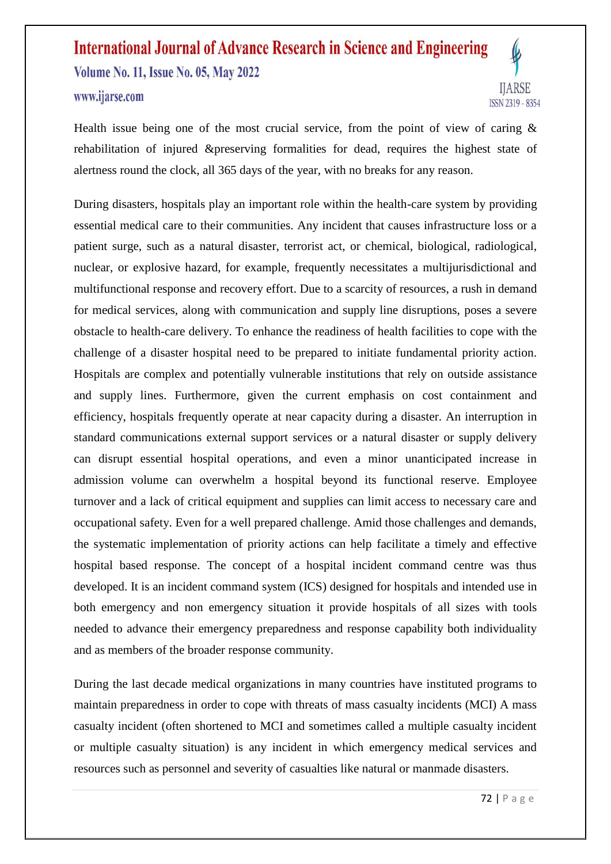

Health issue being one of the most crucial service, from the point of view of caring  $\&$ rehabilitation of injured &preserving formalities for dead, requires the highest state of alertness round the clock, all 365 days of the year, with no breaks for any reason.

During disasters, hospitals play an important role within the health-care system by providing essential medical care to their communities. Any incident that causes infrastructure loss or a patient surge, such as a natural disaster, terrorist act, or chemical, biological, radiological, nuclear, or explosive hazard, for example, frequently necessitates a multijurisdictional and multifunctional response and recovery effort. Due to a scarcity of resources, a rush in demand for medical services, along with communication and supply line disruptions, poses a severe obstacle to health-care delivery. To enhance the readiness of health facilities to cope with the challenge of a disaster hospital need to be prepared to initiate fundamental priority action. Hospitals are complex and potentially vulnerable institutions that rely on outside assistance and supply lines. Furthermore, given the current emphasis on cost containment and efficiency, hospitals frequently operate at near capacity during a disaster. An interruption in standard communications external support services or a natural disaster or supply delivery can disrupt essential hospital operations, and even a minor unanticipated increase in admission volume can overwhelm a hospital beyond its functional reserve. Employee turnover and a lack of critical equipment and supplies can limit access to necessary care and occupational safety. Even for a well prepared challenge. Amid those challenges and demands, the systematic implementation of priority actions can help facilitate a timely and effective hospital based response. The concept of a hospital incident command centre was thus developed. It is an incident command system (ICS) designed for hospitals and intended use in both emergency and non emergency situation it provide hospitals of all sizes with tools needed to advance their emergency preparedness and response capability both individuality and as members of the broader response community.

During the last decade medical organizations in many countries have instituted programs to maintain preparedness in order to cope with threats of mass casualty incidents (MCI) A mass casualty incident (often shortened to MCI and sometimes called a multiple casualty incident or multiple casualty situation) is any incident in which emergency medical services and resources such as personnel and severity of casualties like natural or manmade disasters.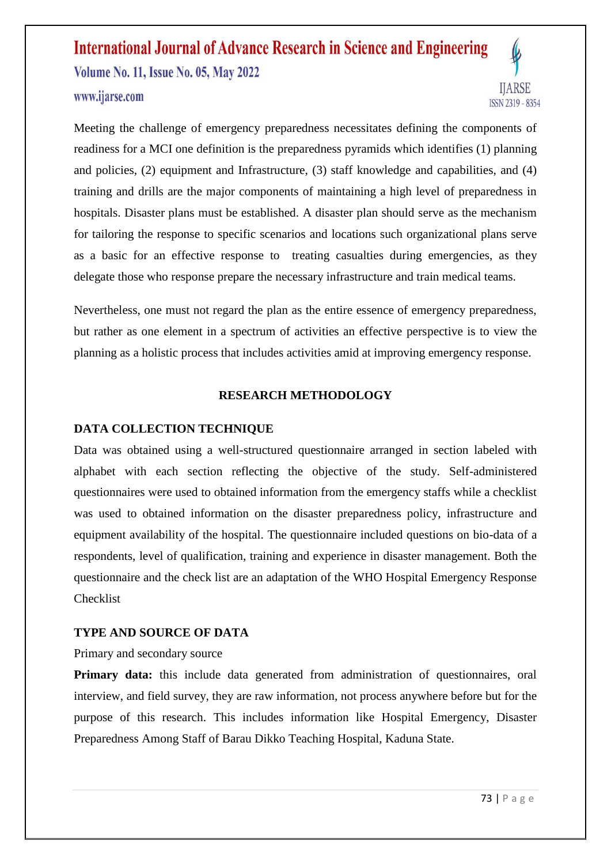

Meeting the challenge of emergency preparedness necessitates defining the components of readiness for a MCI one definition is the preparedness pyramids which identifies (1) planning and policies, (2) equipment and Infrastructure, (3) staff knowledge and capabilities, and (4) training and drills are the major components of maintaining a high level of preparedness in hospitals. Disaster plans must be established. A disaster plan should serve as the mechanism for tailoring the response to specific scenarios and locations such organizational plans serve as a basic for an effective response to treating casualties during emergencies, as they delegate those who response prepare the necessary infrastructure and train medical teams.

Nevertheless, one must not regard the plan as the entire essence of emergency preparedness, but rather as one element in a spectrum of activities an effective perspective is to view the planning as a holistic process that includes activities amid at improving emergency response.

#### **RESEARCH METHODOLOGY**

#### **DATA COLLECTION TECHNIQUE**

Data was obtained using a well-structured questionnaire arranged in section labeled with alphabet with each section reflecting the objective of the study. Self-administered questionnaires were used to obtained information from the emergency staffs while a checklist was used to obtained information on the disaster preparedness policy, infrastructure and equipment availability of the hospital. The questionnaire included questions on bio-data of a respondents, level of qualification, training and experience in disaster management. Both the questionnaire and the check list are an adaptation of the WHO Hospital Emergency Response Checklist

#### **TYPE AND SOURCE OF DATA**

#### Primary and secondary source

Primary data: this include data generated from administration of questionnaires, oral interview, and field survey, they are raw information, not process anywhere before but for the purpose of this research. This includes information like Hospital Emergency, Disaster Preparedness Among Staff of Barau Dikko Teaching Hospital, Kaduna State.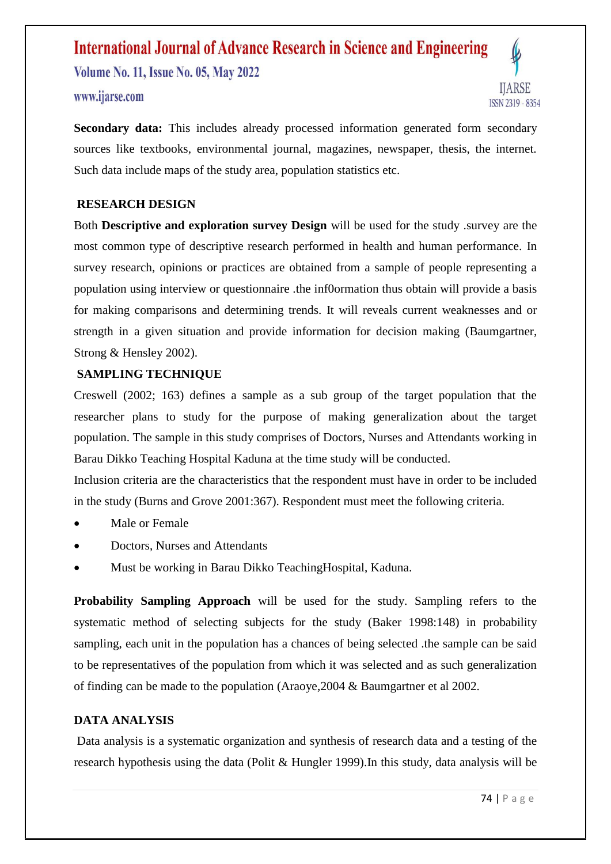

**Secondary data:** This includes already processed information generated form secondary sources like textbooks, environmental journal, magazines, newspaper, thesis, the internet. Such data include maps of the study area, population statistics etc.

#### **RESEARCH DESIGN**

Both **Descriptive and exploration survey Design** will be used for the study .survey are the most common type of descriptive research performed in health and human performance. In survey research, opinions or practices are obtained from a sample of people representing a population using interview or questionnaire .the inf0ormation thus obtain will provide a basis for making comparisons and determining trends. It will reveals current weaknesses and or strength in a given situation and provide information for decision making (Baumgartner, Strong & Hensley 2002).

#### **SAMPLING TECHNIQUE**

Creswell (2002; 163) defines a sample as a sub group of the target population that the researcher plans to study for the purpose of making generalization about the target population. The sample in this study comprises of Doctors, Nurses and Attendants working in Barau Dikko Teaching Hospital Kaduna at the time study will be conducted.

Inclusion criteria are the characteristics that the respondent must have in order to be included in the study (Burns and Grove 2001:367). Respondent must meet the following criteria.

- Male or Female
- Doctors, Nurses and Attendants
- Must be working in Barau Dikko TeachingHospital, Kaduna.

**Probability Sampling Approach** will be used for the study. Sampling refers to the systematic method of selecting subjects for the study (Baker 1998:148) in probability sampling, each unit in the population has a chances of being selected .the sample can be said to be representatives of the population from which it was selected and as such generalization of finding can be made to the population (Araoye,2004 & Baumgartner et al 2002.

#### **DATA ANALYSIS**

Data analysis is a systematic organization and synthesis of research data and a testing of the research hypothesis using the data (Polit & Hungler 1999).In this study, data analysis will be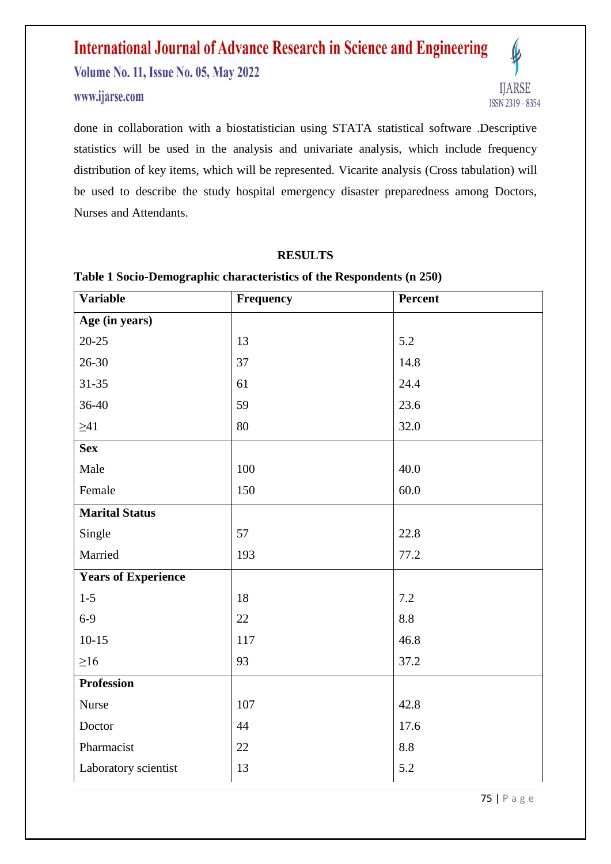www.ijarse.com



done in collaboration with a biostatistician using STATA statistical software .Descriptive statistics will be used in the analysis and univariate analysis, which include frequency distribution of key items, which will be represented. Vicarite analysis (Cross tabulation) will be used to describe the study hospital emergency disaster preparedness among Doctors, Nurses and Attendants.

#### **RESULTS**

| <b>Variable</b>            | Frequency | Percent |
|----------------------------|-----------|---------|
| Age (in years)             |           |         |
| $20 - 25$                  | 13        | 5.2     |
| 26-30                      | 37        | 14.8    |
| $31 - 35$                  | 61        | 24.4    |
| 36-40                      | 59        | 23.6    |
| $\geq 41$                  | 80        | 32.0    |
| <b>Sex</b>                 |           |         |
| Male                       | 100       | 40.0    |
| Female                     | 150       | 60.0    |
| <b>Marital Status</b>      |           |         |
| Single                     | 57        | 22.8    |
| Married                    | 193       | 77.2    |
| <b>Years of Experience</b> |           |         |
| $1 - 5$                    | 18        | 7.2     |
| $6-9$                      | 22        | 8.8     |
| $10-15$                    | 117       | 46.8    |
| $\geq 16$                  | 93        | 37.2    |
| <b>Profession</b>          |           |         |
| <b>Nurse</b>               | 107       | 42.8    |
| Doctor                     | 44        | 17.6    |
| Pharmacist                 | 22        | 8.8     |
| Laboratory scientist       | 13        | 5.2     |

#### **Table 1 Socio-Demographic characteristics of the Respondents (n 250)**

75 | P a g e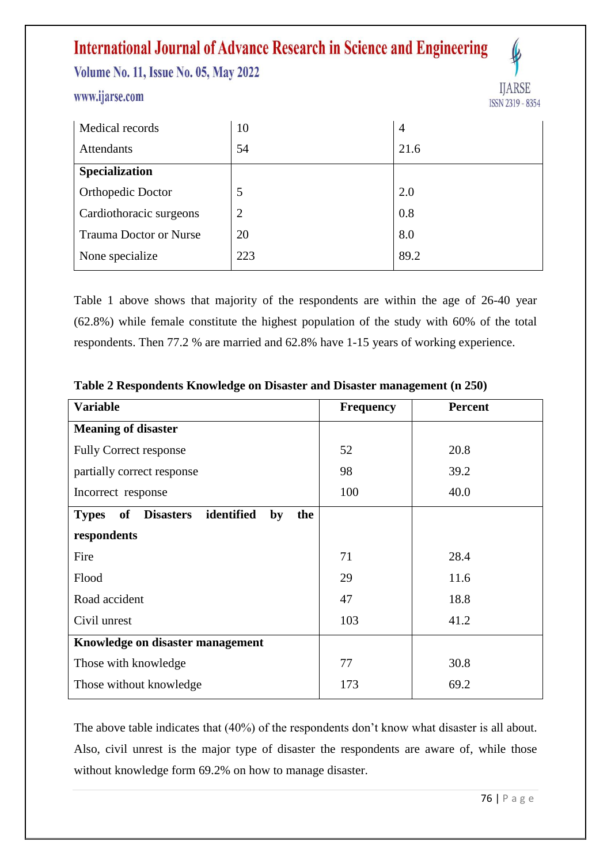## **International Journal of Advance Research in Science and Engineering**

**Volume No. 11, Issue No. 05, May 2022** 

#### www.ijarse.com



| Medical records               | 10             | $\overline{4}$ |
|-------------------------------|----------------|----------------|
| <b>Attendants</b>             | 54             | 21.6           |
| <b>Specialization</b>         |                |                |
| Orthopedic Doctor             | 5              | 2.0            |
| Cardiothoracic surgeons       | $\overline{2}$ | 0.8            |
| <b>Trauma Doctor or Nurse</b> | 20             | 8.0            |
| None specialize               | 223            | 89.2           |

Table 1 above shows that majority of the respondents are within the age of 26-40 year (62.8%) while female constitute the highest population of the study with 60% of the total respondents. Then 77.2 % are married and 62.8% have 1-15 years of working experience.

| <b>Variable</b>                                                   | <b>Frequency</b> | <b>Percent</b> |  |  |
|-------------------------------------------------------------------|------------------|----------------|--|--|
| <b>Meaning of disaster</b>                                        |                  |                |  |  |
| <b>Fully Correct response</b>                                     | 52               | 20.8           |  |  |
| partially correct response                                        | 98               | 39.2           |  |  |
| Incorrect response                                                | 100              | 40.0           |  |  |
| identified<br>of<br><b>Disasters</b><br>by<br>the<br><b>Types</b> |                  |                |  |  |
| respondents                                                       |                  |                |  |  |
| Fire                                                              | 71               | 28.4           |  |  |
| Flood                                                             | 29               | 11.6           |  |  |
| Road accident                                                     | 47               | 18.8           |  |  |
| Civil unrest                                                      | 103              | 41.2           |  |  |
| Knowledge on disaster management                                  |                  |                |  |  |
| Those with knowledge                                              | 77               | 30.8           |  |  |
| Those without knowledge                                           | 173              | 69.2           |  |  |

**Table 2 Respondents Knowledge on Disaster and Disaster management (n 250)**

The above table indicates that (40%) of the respondents don't know what disaster is all about. Also, civil unrest is the major type of disaster the respondents are aware of, while those without knowledge form 69.2% on how to manage disaster.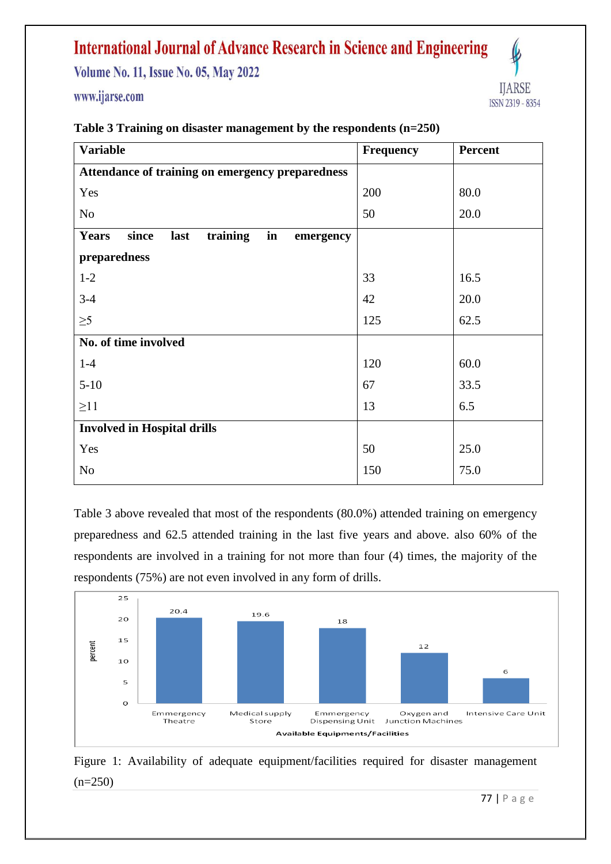### **International Journal of Advance Research in Science and Engineering**

**Volume No. 11, Issue No. 05, May 2022** 

www.ijarse.com



| <b>Variable</b>                                              | Frequency | <b>Percent</b> |
|--------------------------------------------------------------|-----------|----------------|
| Attendance of training on emergency preparedness             |           |                |
| Yes                                                          | 200       | 80.0           |
| N <sub>o</sub>                                               | 50        | 20.0           |
| in<br>since<br>training<br><b>Years</b><br>last<br>emergency |           |                |
| preparedness                                                 |           |                |
| $1 - 2$                                                      | 33        | 16.5           |
| $3-4$                                                        | 42        | 20.0           |
| $\geq 5$                                                     | 125       | 62.5           |
| No. of time involved                                         |           |                |
| $1-4$                                                        | 120       | 60.0           |
| $5 - 10$                                                     | 67        | 33.5           |
| $\geq$ 11                                                    | 13        | 6.5            |
| <b>Involved in Hospital drills</b>                           |           |                |
| Yes                                                          | 50        | 25.0           |
| No                                                           | 150       | 75.0           |

#### **Table 3 Training on disaster management by the respondents (n=250)**

Table 3 above revealed that most of the respondents (80.0%) attended training on emergency preparedness and 62.5 attended training in the last five years and above. also 60% of the respondents are involved in a training for not more than four (4) times, the majority of the respondents (75%) are not even involved in any form of drills.



Figure 1: Availability of adequate equipment/facilities required for disaster management  $(n=250)$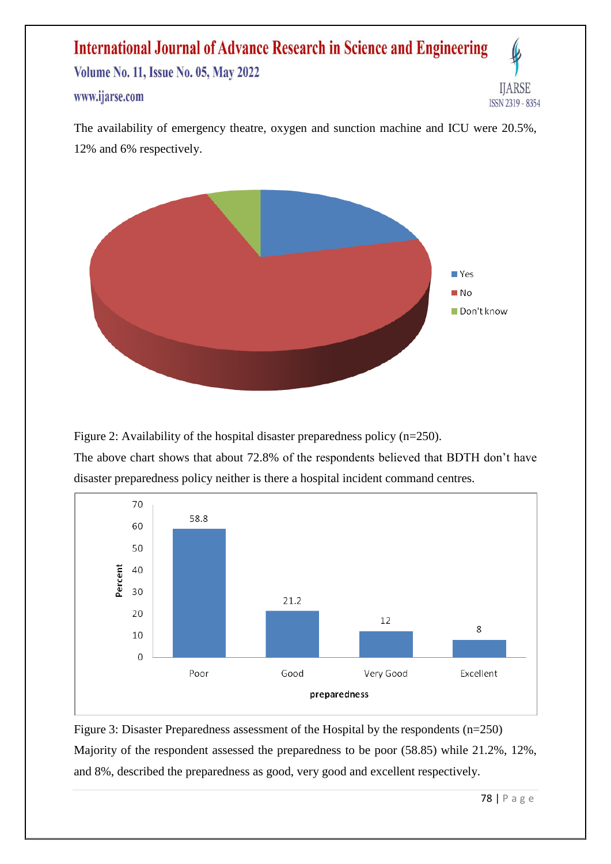The availability of emergency theatre, oxygen and sunction machine and ICU were 20.5%, 12% and 6% respectively.



Figure 2: Availability of the hospital disaster preparedness policy (n=250). The above chart shows that about 72.8% of the respondents believed that BDTH don't have disaster preparedness policy neither is there a hospital incident command centres.



Figure 3: Disaster Preparedness assessment of the Hospital by the respondents (n=250) Majority of the respondent assessed the preparedness to be poor (58.85) while 21.2%, 12%, and 8%, described the preparedness as good, very good and excellent respectively.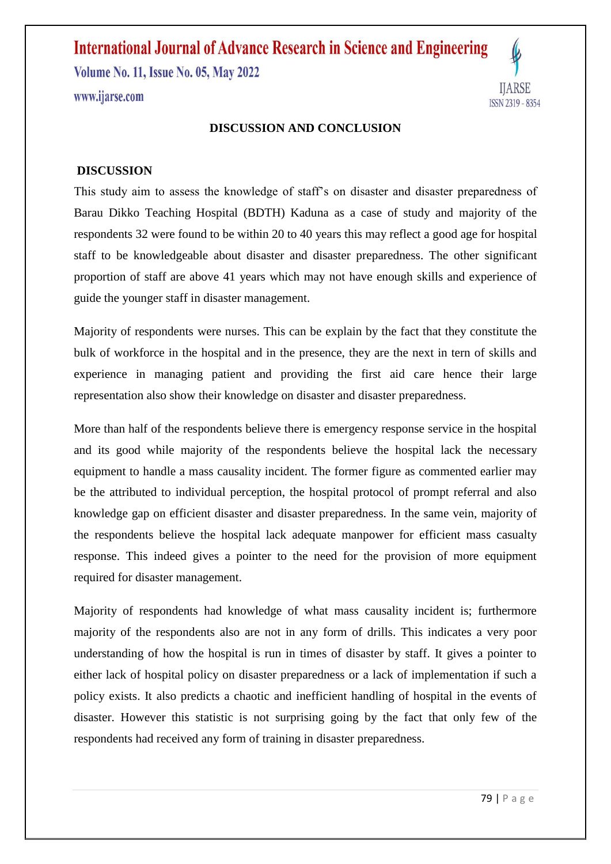#### **DISCUSSION AND CONCLUSION**

#### **DISCUSSION**

This study aim to assess the knowledge of staff's on disaster and disaster preparedness of Barau Dikko Teaching Hospital (BDTH) Kaduna as a case of study and majority of the respondents 32 were found to be within 20 to 40 years this may reflect a good age for hospital staff to be knowledgeable about disaster and disaster preparedness. The other significant proportion of staff are above 41 years which may not have enough skills and experience of guide the younger staff in disaster management.

Majority of respondents were nurses. This can be explain by the fact that they constitute the bulk of workforce in the hospital and in the presence, they are the next in tern of skills and experience in managing patient and providing the first aid care hence their large representation also show their knowledge on disaster and disaster preparedness.

More than half of the respondents believe there is emergency response service in the hospital and its good while majority of the respondents believe the hospital lack the necessary equipment to handle a mass causality incident. The former figure as commented earlier may be the attributed to individual perception, the hospital protocol of prompt referral and also knowledge gap on efficient disaster and disaster preparedness. In the same vein, majority of the respondents believe the hospital lack adequate manpower for efficient mass casualty response. This indeed gives a pointer to the need for the provision of more equipment required for disaster management.

Majority of respondents had knowledge of what mass causality incident is; furthermore majority of the respondents also are not in any form of drills. This indicates a very poor understanding of how the hospital is run in times of disaster by staff. It gives a pointer to either lack of hospital policy on disaster preparedness or a lack of implementation if such a policy exists. It also predicts a chaotic and inefficient handling of hospital in the events of disaster. However this statistic is not surprising going by the fact that only few of the respondents had received any form of training in disaster preparedness.

IIARSE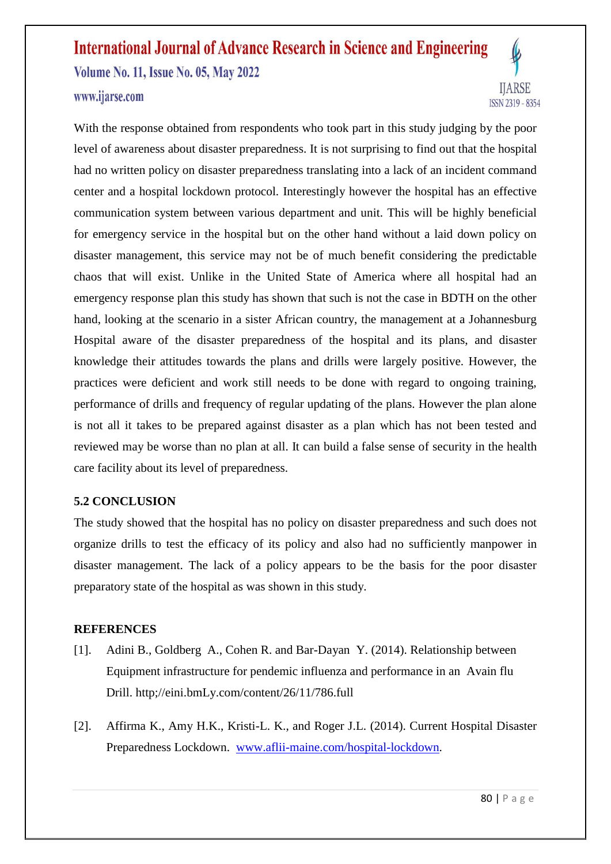#### www.ijarse.com



With the response obtained from respondents who took part in this study judging by the poor level of awareness about disaster preparedness. It is not surprising to find out that the hospital had no written policy on disaster preparedness translating into a lack of an incident command center and a hospital lockdown protocol. Interestingly however the hospital has an effective communication system between various department and unit. This will be highly beneficial for emergency service in the hospital but on the other hand without a laid down policy on disaster management, this service may not be of much benefit considering the predictable chaos that will exist. Unlike in the United State of America where all hospital had an emergency response plan this study has shown that such is not the case in BDTH on the other hand, looking at the scenario in a sister African country, the management at a Johannesburg Hospital aware of the disaster preparedness of the hospital and its plans, and disaster knowledge their attitudes towards the plans and drills were largely positive. However, the practices were deficient and work still needs to be done with regard to ongoing training, performance of drills and frequency of regular updating of the plans. However the plan alone is not all it takes to be prepared against disaster as a plan which has not been tested and reviewed may be worse than no plan at all. It can build a false sense of security in the health care facility about its level of preparedness.

#### **5.2 CONCLUSION**

The study showed that the hospital has no policy on disaster preparedness and such does not organize drills to test the efficacy of its policy and also had no sufficiently manpower in disaster management. The lack of a policy appears to be the basis for the poor disaster preparatory state of the hospital as was shown in this study.

#### **REFERENCES**

- [1]. Adini B., Goldberg A., Cohen R. and Bar-Dayan Y. (2014). Relationship between Equipment infrastructure for pendemic influenza and performance in an Avain flu Drill. http;//eini.bmLy.com/content/26/11/786.full
- [2]. Affirma K., Amy H.K., Kristi-L. K., and Roger J.L. (2014). Current Hospital Disaster Preparedness Lockdown. [www.aflii-maine.com/hospital-lockdown.](http://www.aflii-maine.com/hospital-lockdown)